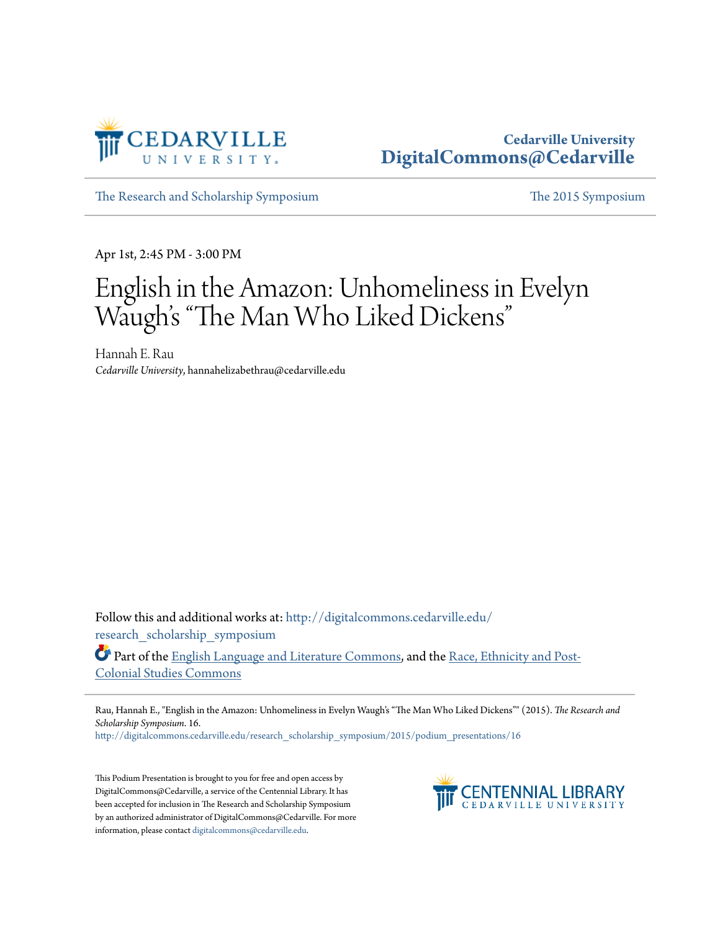

## **Cedarville University [DigitalCommons@Cedarville](http://digitalcommons.cedarville.edu?utm_source=digitalcommons.cedarville.edu%2Fresearch_scholarship_symposium%2F2015%2Fpodium_presentations%2F16&utm_medium=PDF&utm_campaign=PDFCoverPages)**

[The Research and Scholarship Symposium](http://digitalcommons.cedarville.edu/research_scholarship_symposium?utm_source=digitalcommons.cedarville.edu%2Fresearch_scholarship_symposium%2F2015%2Fpodium_presentations%2F16&utm_medium=PDF&utm_campaign=PDFCoverPages) [The 2015 Symposium](http://digitalcommons.cedarville.edu/research_scholarship_symposium/2015?utm_source=digitalcommons.cedarville.edu%2Fresearch_scholarship_symposium%2F2015%2Fpodium_presentations%2F16&utm_medium=PDF&utm_campaign=PDFCoverPages)

Apr 1st, 2:45 PM - 3:00 PM

# English in the Amazon: Unhomeliness in Evelyn Waugh's "The Man Who Liked Dickens "

Hannah E. Rau *Cedarville University*, hannahelizabethrau@cedarville.edu

Follow this and additional works at: [http://digitalcommons.cedarville.edu/](http://digitalcommons.cedarville.edu/research_scholarship_symposium?utm_source=digitalcommons.cedarville.edu%2Fresearch_scholarship_symposium%2F2015%2Fpodium_presentations%2F16&utm_medium=PDF&utm_campaign=PDFCoverPages) [research\\_scholarship\\_symposium](http://digitalcommons.cedarville.edu/research_scholarship_symposium?utm_source=digitalcommons.cedarville.edu%2Fresearch_scholarship_symposium%2F2015%2Fpodium_presentations%2F16&utm_medium=PDF&utm_campaign=PDFCoverPages)

Part of the [English Language and Literature Commons](http://network.bepress.com/hgg/discipline/455?utm_source=digitalcommons.cedarville.edu%2Fresearch_scholarship_symposium%2F2015%2Fpodium_presentations%2F16&utm_medium=PDF&utm_campaign=PDFCoverPages), and the [Race, Ethnicity and Post-](http://network.bepress.com/hgg/discipline/566?utm_source=digitalcommons.cedarville.edu%2Fresearch_scholarship_symposium%2F2015%2Fpodium_presentations%2F16&utm_medium=PDF&utm_campaign=PDFCoverPages)[Colonial Studies Commons](http://network.bepress.com/hgg/discipline/566?utm_source=digitalcommons.cedarville.edu%2Fresearch_scholarship_symposium%2F2015%2Fpodium_presentations%2F16&utm_medium=PDF&utm_campaign=PDFCoverPages)

Rau, Hannah E., "English in the Amazon: Unhomeliness in Evelyn Waugh's "The Man Who Liked Dickens"" (2015). *The Research and Scholarship Symposium*. 16.

[http://digitalcommons.cedarville.edu/research\\_scholarship\\_symposium/2015/podium\\_presentations/16](http://digitalcommons.cedarville.edu/research_scholarship_symposium/2015/podium_presentations/16?utm_source=digitalcommons.cedarville.edu%2Fresearch_scholarship_symposium%2F2015%2Fpodium_presentations%2F16&utm_medium=PDF&utm_campaign=PDFCoverPages)

This Podium Presentation is brought to you for free and open access by DigitalCommons@Cedarville, a service of the Centennial Library. It has been accepted for inclusion in The Research and Scholarship Symposium by an authorized administrator of DigitalCommons@Cedarville. For more information, please contact [digitalcommons@cedarville.edu.](mailto:digitalcommons@cedarville.edu)

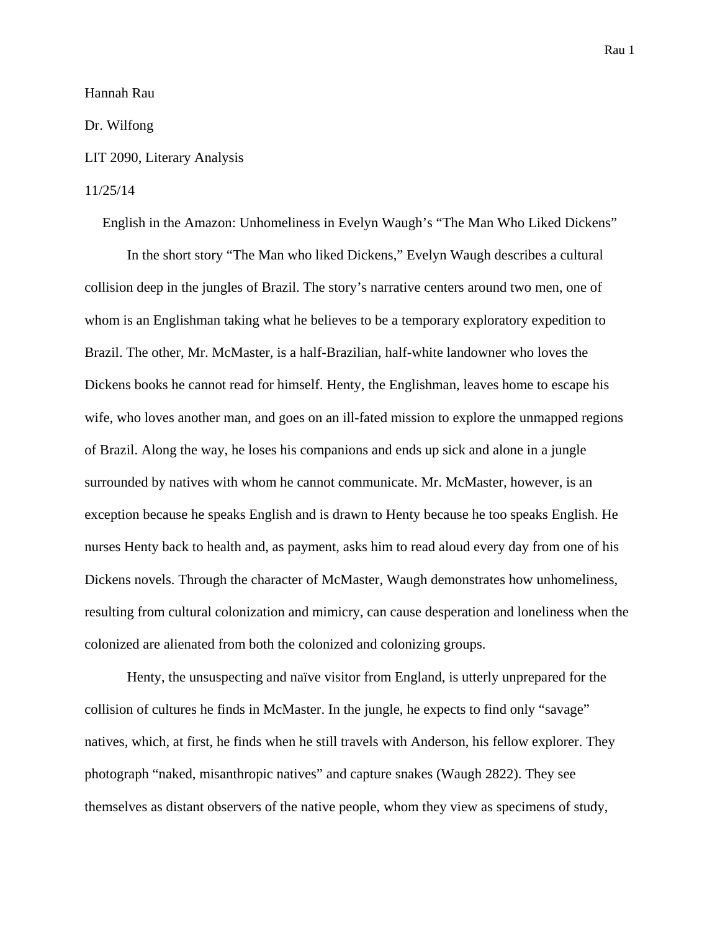Hannah Rau

Dr. Wilfong

#### LIT 2090, Literary Analysis

#### 11/25/14

English in the Amazon: Unhomeliness in Evelyn Waugh's "The Man Who Liked Dickens"

In the short story "The Man who liked Dickens," Evelyn Waugh describes a cultural collision deep in the jungles of Brazil. The story's narrative centers around two men, one of whom is an Englishman taking what he believes to be a temporary exploratory expedition to Brazil. The other, Mr. McMaster, is a half-Brazilian, half-white landowner who loves the Dickens books he cannot read for himself. Henty, the Englishman, leaves home to escape his wife, who loves another man, and goes on an ill-fated mission to explore the unmapped regions of Brazil. Along the way, he loses his companions and ends up sick and alone in a jungle surrounded by natives with whom he cannot communicate. Mr. McMaster, however, is an exception because he speaks English and is drawn to Henty because he too speaks English. He nurses Henty back to health and, as payment, asks him to read aloud every day from one of his Dickens novels. Through the character of McMaster, Waugh demonstrates how unhomeliness, resulting from cultural colonization and mimicry, can cause desperation and loneliness when the colonized are alienated from both the colonized and colonizing groups.

Henty, the unsuspecting and naïve visitor from England, is utterly unprepared for the collision of cultures he finds in McMaster. In the jungle, he expects to find only "savage" natives, which, at first, he finds when he still travels with Anderson, his fellow explorer. They photograph "naked, misanthropic natives" and capture snakes (Waugh 2822). They see themselves as distant observers of the native people, whom they view as specimens of study,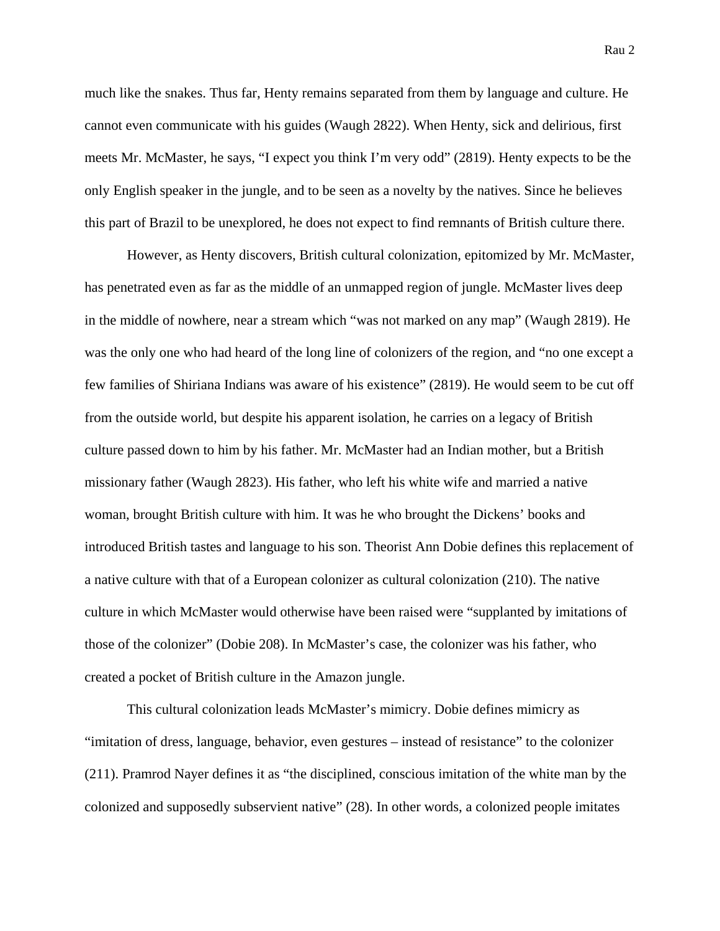much like the snakes. Thus far, Henty remains separated from them by language and culture. He cannot even communicate with his guides (Waugh 2822). When Henty, sick and delirious, first meets Mr. McMaster, he says, "I expect you think I'm very odd" (2819). Henty expects to be the only English speaker in the jungle, and to be seen as a novelty by the natives. Since he believes this part of Brazil to be unexplored, he does not expect to find remnants of British culture there.

However, as Henty discovers, British cultural colonization, epitomized by Mr. McMaster, has penetrated even as far as the middle of an unmapped region of jungle. McMaster lives deep in the middle of nowhere, near a stream which "was not marked on any map" (Waugh 2819). He was the only one who had heard of the long line of colonizers of the region, and "no one except a few families of Shiriana Indians was aware of his existence" (2819). He would seem to be cut off from the outside world, but despite his apparent isolation, he carries on a legacy of British culture passed down to him by his father. Mr. McMaster had an Indian mother, but a British missionary father (Waugh 2823). His father, who left his white wife and married a native woman, brought British culture with him. It was he who brought the Dickens' books and introduced British tastes and language to his son. Theorist Ann Dobie defines this replacement of a native culture with that of a European colonizer as cultural colonization (210). The native culture in which McMaster would otherwise have been raised were "supplanted by imitations of those of the colonizer" (Dobie 208). In McMaster's case, the colonizer was his father, who created a pocket of British culture in the Amazon jungle.

This cultural colonization leads McMaster's mimicry. Dobie defines mimicry as "imitation of dress, language, behavior, even gestures – instead of resistance" to the colonizer (211). Pramrod Nayer defines it as "the disciplined, conscious imitation of the white man by the colonized and supposedly subservient native" (28). In other words, a colonized people imitates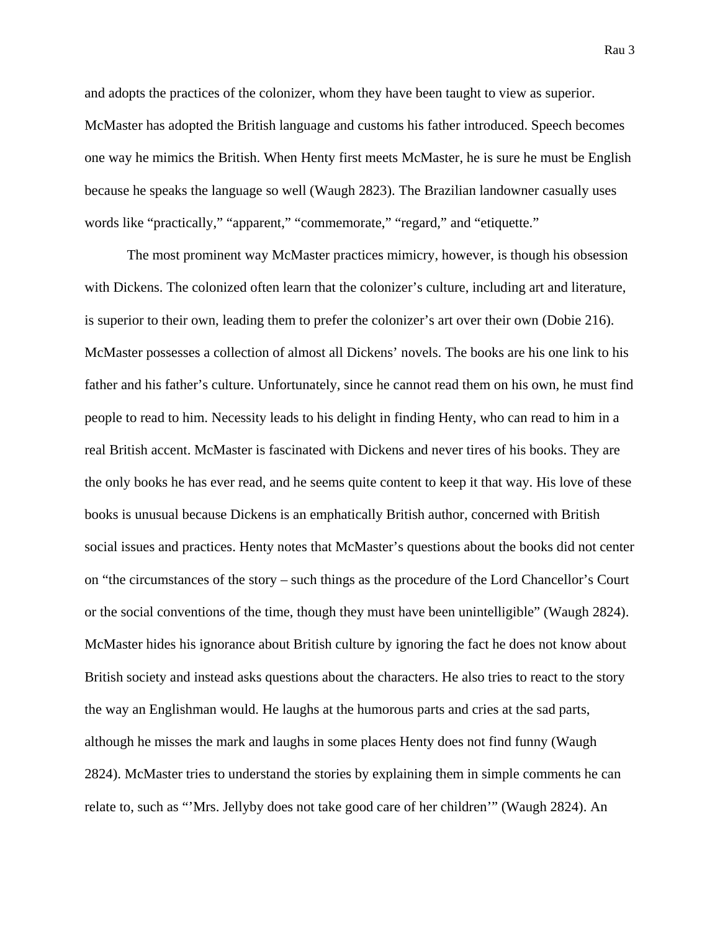and adopts the practices of the colonizer, whom they have been taught to view as superior. McMaster has adopted the British language and customs his father introduced. Speech becomes one way he mimics the British. When Henty first meets McMaster, he is sure he must be English because he speaks the language so well (Waugh 2823). The Brazilian landowner casually uses words like "practically," "apparent," "commemorate," "regard," and "etiquette."

The most prominent way McMaster practices mimicry, however, is though his obsession with Dickens. The colonized often learn that the colonizer's culture, including art and literature, is superior to their own, leading them to prefer the colonizer's art over their own (Dobie 216). McMaster possesses a collection of almost all Dickens' novels. The books are his one link to his father and his father's culture. Unfortunately, since he cannot read them on his own, he must find people to read to him. Necessity leads to his delight in finding Henty, who can read to him in a real British accent. McMaster is fascinated with Dickens and never tires of his books. They are the only books he has ever read, and he seems quite content to keep it that way. His love of these books is unusual because Dickens is an emphatically British author, concerned with British social issues and practices. Henty notes that McMaster's questions about the books did not center on "the circumstances of the story – such things as the procedure of the Lord Chancellor's Court or the social conventions of the time, though they must have been unintelligible" (Waugh 2824). McMaster hides his ignorance about British culture by ignoring the fact he does not know about British society and instead asks questions about the characters. He also tries to react to the story the way an Englishman would. He laughs at the humorous parts and cries at the sad parts, although he misses the mark and laughs in some places Henty does not find funny (Waugh 2824). McMaster tries to understand the stories by explaining them in simple comments he can relate to, such as "'Mrs. Jellyby does not take good care of her children'" (Waugh 2824). An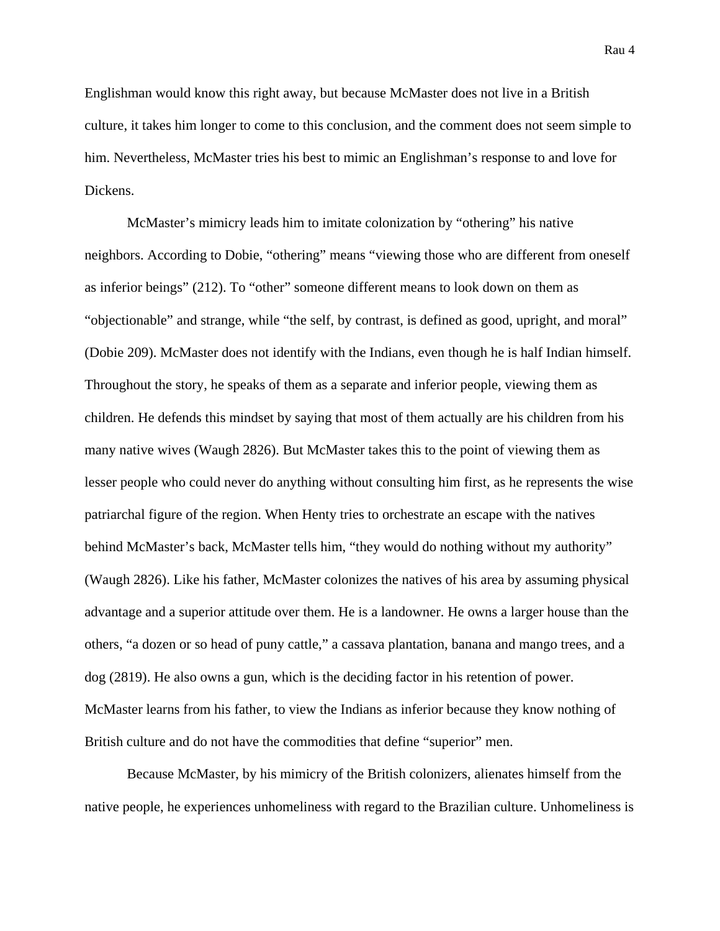Rau 4

Englishman would know this right away, but because McMaster does not live in a British culture, it takes him longer to come to this conclusion, and the comment does not seem simple to him. Nevertheless, McMaster tries his best to mimic an Englishman's response to and love for Dickens.

McMaster's mimicry leads him to imitate colonization by "othering" his native neighbors. According to Dobie, "othering" means "viewing those who are different from oneself as inferior beings" (212). To "other" someone different means to look down on them as "objectionable" and strange, while "the self, by contrast, is defined as good, upright, and moral" (Dobie 209). McMaster does not identify with the Indians, even though he is half Indian himself. Throughout the story, he speaks of them as a separate and inferior people, viewing them as children. He defends this mindset by saying that most of them actually are his children from his many native wives (Waugh 2826). But McMaster takes this to the point of viewing them as lesser people who could never do anything without consulting him first, as he represents the wise patriarchal figure of the region. When Henty tries to orchestrate an escape with the natives behind McMaster's back, McMaster tells him, "they would do nothing without my authority" (Waugh 2826). Like his father, McMaster colonizes the natives of his area by assuming physical advantage and a superior attitude over them. He is a landowner. He owns a larger house than the others, "a dozen or so head of puny cattle," a cassava plantation, banana and mango trees, and a dog (2819). He also owns a gun, which is the deciding factor in his retention of power. McMaster learns from his father, to view the Indians as inferior because they know nothing of British culture and do not have the commodities that define "superior" men.

Because McMaster, by his mimicry of the British colonizers, alienates himself from the native people, he experiences unhomeliness with regard to the Brazilian culture. Unhomeliness is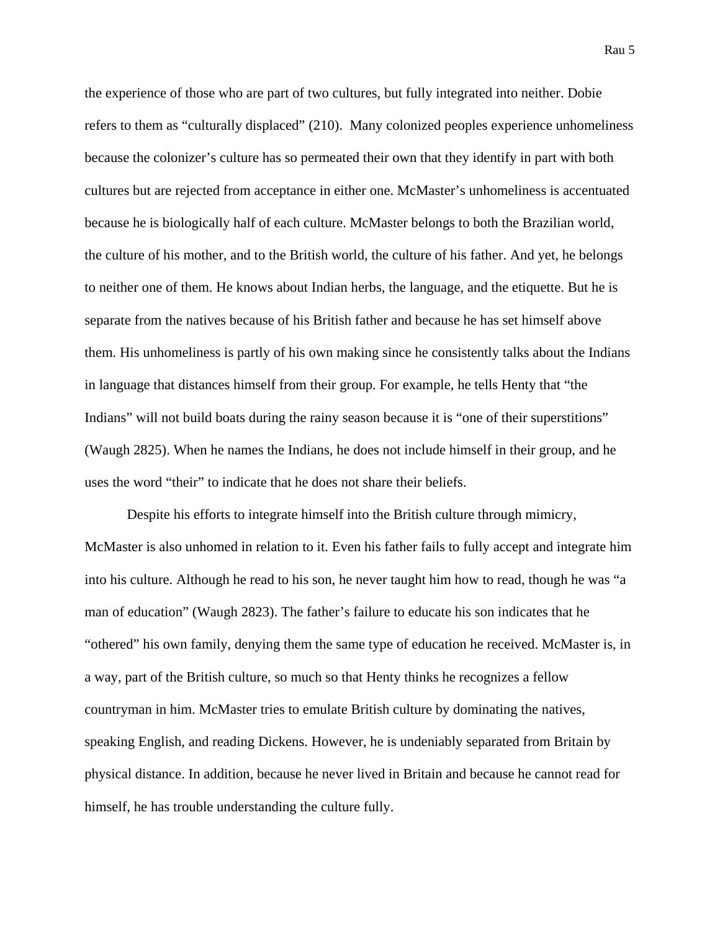the experience of those who are part of two cultures, but fully integrated into neither. Dobie refers to them as "culturally displaced" (210). Many colonized peoples experience unhomeliness because the colonizer's culture has so permeated their own that they identify in part with both cultures but are rejected from acceptance in either one. McMaster's unhomeliness is accentuated because he is biologically half of each culture. McMaster belongs to both the Brazilian world, the culture of his mother, and to the British world, the culture of his father. And yet, he belongs to neither one of them. He knows about Indian herbs, the language, and the etiquette. But he is separate from the natives because of his British father and because he has set himself above them. His unhomeliness is partly of his own making since he consistently talks about the Indians in language that distances himself from their group. For example, he tells Henty that "the Indians" will not build boats during the rainy season because it is "one of their superstitions" (Waugh 2825). When he names the Indians, he does not include himself in their group, and he uses the word "their" to indicate that he does not share their beliefs.

Despite his efforts to integrate himself into the British culture through mimicry, McMaster is also unhomed in relation to it. Even his father fails to fully accept and integrate him into his culture. Although he read to his son, he never taught him how to read, though he was "a man of education" (Waugh 2823). The father's failure to educate his son indicates that he "othered" his own family, denying them the same type of education he received. McMaster is, in a way, part of the British culture, so much so that Henty thinks he recognizes a fellow countryman in him. McMaster tries to emulate British culture by dominating the natives, speaking English, and reading Dickens. However, he is undeniably separated from Britain by physical distance. In addition, because he never lived in Britain and because he cannot read for himself, he has trouble understanding the culture fully.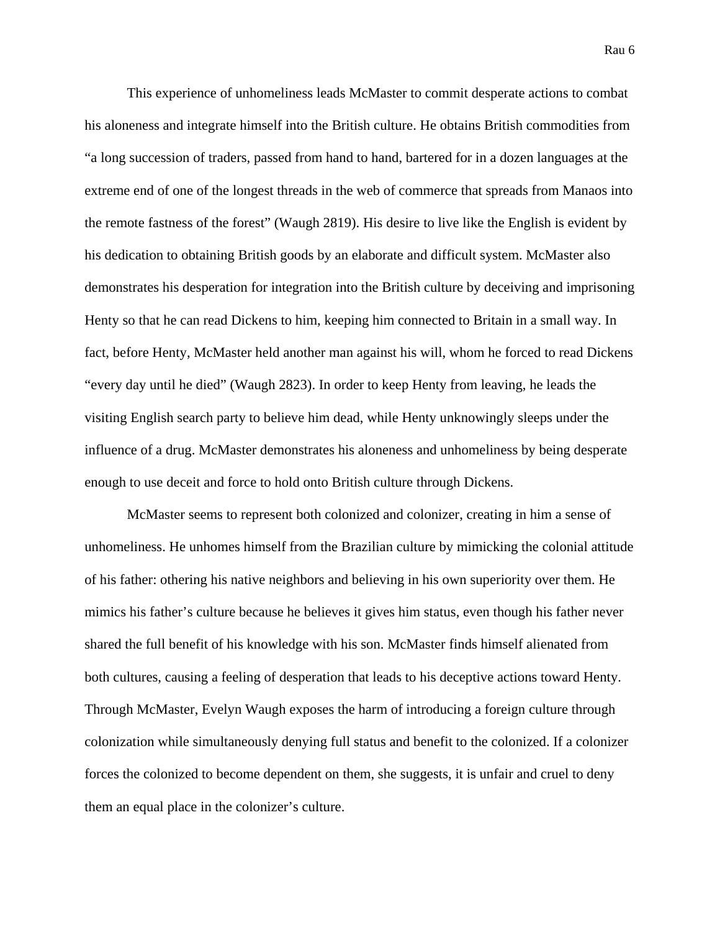Rau 6

This experience of unhomeliness leads McMaster to commit desperate actions to combat his aloneness and integrate himself into the British culture. He obtains British commodities from "a long succession of traders, passed from hand to hand, bartered for in a dozen languages at the extreme end of one of the longest threads in the web of commerce that spreads from Manaos into the remote fastness of the forest" (Waugh 2819). His desire to live like the English is evident by his dedication to obtaining British goods by an elaborate and difficult system. McMaster also demonstrates his desperation for integration into the British culture by deceiving and imprisoning Henty so that he can read Dickens to him, keeping him connected to Britain in a small way. In fact, before Henty, McMaster held another man against his will, whom he forced to read Dickens "every day until he died" (Waugh 2823). In order to keep Henty from leaving, he leads the visiting English search party to believe him dead, while Henty unknowingly sleeps under the influence of a drug. McMaster demonstrates his aloneness and unhomeliness by being desperate enough to use deceit and force to hold onto British culture through Dickens.

McMaster seems to represent both colonized and colonizer, creating in him a sense of unhomeliness. He unhomes himself from the Brazilian culture by mimicking the colonial attitude of his father: othering his native neighbors and believing in his own superiority over them. He mimics his father's culture because he believes it gives him status, even though his father never shared the full benefit of his knowledge with his son. McMaster finds himself alienated from both cultures, causing a feeling of desperation that leads to his deceptive actions toward Henty. Through McMaster, Evelyn Waugh exposes the harm of introducing a foreign culture through colonization while simultaneously denying full status and benefit to the colonized. If a colonizer forces the colonized to become dependent on them, she suggests, it is unfair and cruel to deny them an equal place in the colonizer's culture.